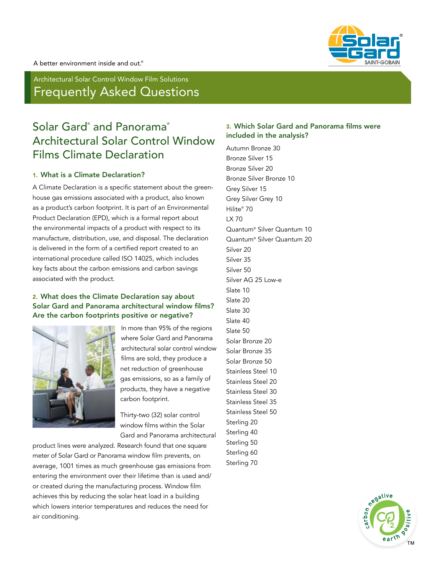

Architectural Solar Control Window Film Solutions Frequently Asked Questions

# Solar Gard® and Panorama® Architectural Solar Control Window Films Climate Declaration

#### 1. What is a Climate Declaration?

A Climate Declaration is a specific statement about the greenhouse gas emissions associated with a product, also known as a product's carbon footprint. It is part of an Environmental Product Declaration (EPD), which is a formal report about the environmental impacts of a product with respect to its manufacture, distribution, use, and disposal. The declaration is delivered in the form of a certified report created to an international procedure called ISO 14025, which includes key facts about the carbon emissions and carbon savings associated with the product.

## 2. What does the Climate Declaration say about Solar Gard and Panorama architectural window films? Are the carbon footprints positive or negative?



In more than 95% of the regions where Solar Gard and Panorama architectural solar control window films are sold, they produce a net reduction of greenhouse gas emissions, so as a family of products, they have a negative carbon footprint.

Thirty-two (32) solar control window films within the Solar Gard and Panorama architectural

product lines were analyzed. Research found that one square meter of Solar Gard or Panorama window film prevents, on average, 1001 times as much greenhouse gas emissions from entering the environment over their lifetime than is used and/ or created during the manufacturing process. Window film achieves this by reducing the solar heat load in a building which lowers interior temperatures and reduces the need for air conditioning.

# 3. Which Solar Gard and Panorama films were included in the analysis?

Autumn Bronze 30 Bronze Silver 15 Bronze Silver 20 Bronze Silver Bronze 10 Grey Silver 15 Grey Silver Grey 10 Hilite® 70 LX 70 Quantum® Silver Quantum 10 Quantum® Silver Quantum 20 Silver 20 Silver 35 Silver 50 Silver AG 25 Low-e Slate 10 Slate 20 Slate 30 Slate 40 Slate 50 Solar Bronze 20 Solar Bronze 35 Solar Bronze 50 Stainless Steel 10 Stainless Steel 20 Stainless Steel 30 Stainless Steel 35 Stainless Steel 50 Sterling 20 Sterling 40 Sterling 50 Sterling 60 Sterling 70

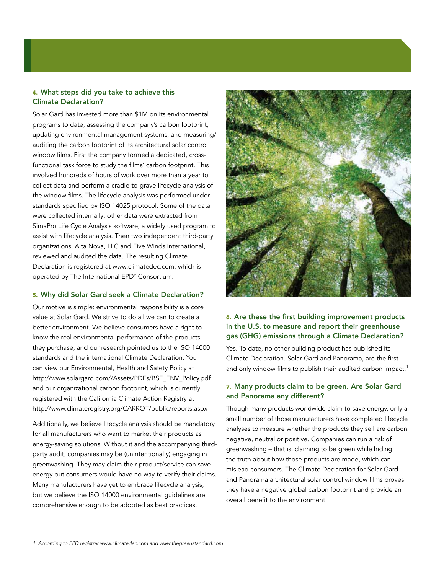# 4. What steps did you take to achieve this Climate Declaration?

Solar Gard has invested more than \$1M on its environmental programs to date, assessing the company's carbon footprint, updating environmental management systems, and measuring/ auditing the carbon footprint of its architectural solar control window films. First the company formed a dedicated, crossfunctional task force to study the films' carbon footprint. This involved hundreds of hours of work over more than a year to collect data and perform a cradle-to-grave lifecycle analysis of the window films. The lifecycle analysis was performed under standards specified by ISO 14025 protocol. Some of the data were collected internally; other data were extracted from SimaPro Life Cycle Analysis software, a widely used program to assist with lifecycle analysis. Then two independent third-party organizations, Alta Nova, LLC and Five Winds International, reviewed and audited the data. The resulting Climate Declaration is registered at www.climatedec.com, which is operated by The International EPD® Consortium.

#### 5. Why did Solar Gard seek a Climate Declaration?

Our motive is simple: environmental responsibility is a core value at Solar Gard. We strive to do all we can to create a better environment. We believe consumers have a right to know the real environmental performance of the products they purchase, and our research pointed us to the ISO 14000 standards and the international Climate Declaration. You can view our Environmental, Health and Safety Policy at http://www.solargard.com//Assets/PDFs/BSF\_ENV\_Policy.pdf and our organizational carbon footprint, which is currently registered with the California Climate Action Registry at http://www.climateregistry.org/CARROT/public/reports.aspx

Additionally, we believe lifecycle analysis should be mandatory for all manufacturers who want to market their products as energy-saving solutions. Without it and the accompanying thirdparty audit, companies may be (unintentionally) engaging in greenwashing. They may claim their product/service can save energy but consumers would have no way to verify their claims. Many manufacturers have yet to embrace lifecycle analysis, but we believe the ISO 14000 environmental guidelines are comprehensive enough to be adopted as best practices.



## 6. Are these the first building improvement products in the U.S. to measure and report their greenhouse gas (GHG) emissions through a Climate Declaration?

Yes. To date, no other building product has published its Climate Declaration. Solar Gard and Panorama, are the first and only window films to publish their audited carbon impact.<sup>1</sup>

#### 7. Many products claim to be green. Are Solar Gard and Panorama any different?

Though many products worldwide claim to save energy, only a small number of those manufacturers have completed lifecycle analyses to measure whether the products they sell are carbon negative, neutral or positive. Companies can run a risk of greenwashing – that is, claiming to be green while hiding the truth about how those products are made, which can mislead consumers. The Climate Declaration for Solar Gard and Panorama architectural solar control window films proves they have a negative global carbon footprint and provide an overall benefit to the environment.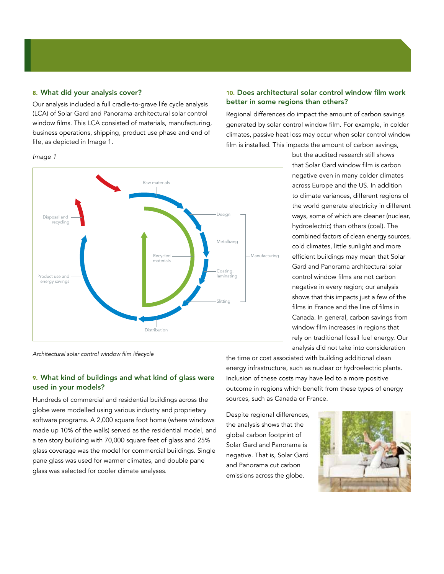#### 8. What did your analysis cover?

Our analysis included a full cradle-to-grave life cycle analysis (LCA) of Solar Gard and Panorama architectural solar control window films. This LCA consisted of materials, manufacturing, business operations, shipping, product use phase and end of life, as depicted in Image 1.

#### *Image 1*



10. Does architectural solar control window film work better in some regions than others?

Regional differences do impact the amount of carbon savings generated by solar control window film. For example, in colder climates, passive heat loss may occur when solar control window film is installed. This impacts the amount of carbon savings,

> but the audited research still shows that Solar Gard window film is carbon negative even in many colder climates across Europe and the US. In addition to climate variances, different regions of the world generate electricity in different ways, some of which are cleaner (nuclear, hydroelectric) than others (coal). The combined factors of clean energy sources, cold climates, little sunlight and more efficient buildings may mean that Solar Gard and Panorama architectural solar control window films are not carbon negative in every region; our analysis shows that this impacts just a few of the films in France and the line of films in Canada. In general, carbon savings from window film increases in regions that rely on traditional fossil fuel energy. Our analysis did not take into consideration

*Architectural solar control window film lifecycle*

#### 9. What kind of buildings and what kind of glass were used in your models?

Hundreds of commercial and residential buildings across the globe were modelled using various industry and proprietary software programs. A 2,000 square foot home (where windows made up 10% of the walls) served as the residential model, and a ten story building with 70,000 square feet of glass and 25% glass coverage was the model for commercial buildings. Single pane glass was used for warmer climates, and double pane glass was selected for cooler climate analyses.

the time or cost associated with building additional clean energy infrastructure, such as nuclear or hydroelectric plants. Inclusion of these costs may have led to a more positive outcome in regions which benefit from these types of energy sources, such as Canada or France.

Despite regional differences, the analysis shows that the global carbon footprint of Solar Gard and Panorama is negative. That is, Solar Gard and Panorama cut carbon emissions across the globe.